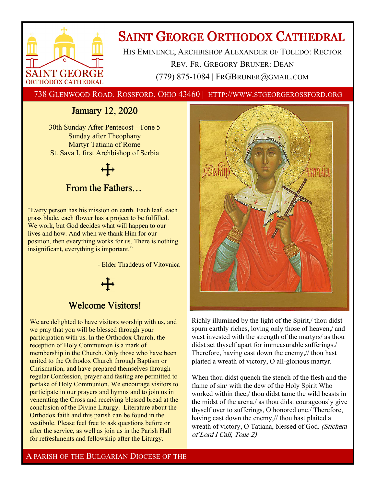

# **SAINT GEORGE ORTHODOX CATHEDRAL**

HIS EMINENCE, ARCHBISHOP ALEXANDER OF TOLEDO: RECTOR REV. FR. GREGORY BRUNER: DEAN (779) 875-1084 | FRGBRUNER@GMAIL.COM

738 GLENWOOD ROAD. ROSSFORD, OHIO 43460 | HTTP://WWW.STGEORGEROSSFORD.ORG

# January 12, 2020

30th Sunday After Pentecost - Tone 5 Sunday after Theophany Martyr Tatiana of Rome St. Sava I, first Archbishop of Serbia

# From the Fathers…

"Every person has his mission on earth. Each leaf, each grass blade, each flower has a project to be fulfilled. We work, but God decides what will happen to our lives and how. And when we thank Him for our position, then everything works for us. There is nothing insignificant, everything is important."

- Elder Thaddeus of Vitovnica



# Welcome Visitors!

We are delighted to have visitors worship with us, and we pray that you will be blessed through your participation with us. In the Orthodox Church, the reception of Holy Communion is a mark of membership in the Church. Only those who have been united to the Orthodox Church through Baptism or Chrismation, and have prepared themselves through regular Confession, prayer and fasting are permitted to partake of Holy Communion. We encourage visitors to participate in our prayers and hymns and to join us in venerating the Cross and receiving blessed bread at the conclusion of the Divine Liturgy. Literature about the Orthodox faith and this parish can be found in the vestibule. Please feel free to ask questions before or after the service, as well as join us in the Parish Hall for refreshments and fellowship after the Liturgy.



Richly illumined by the light of the Spirit,/ thou didst spurn earthly riches, loving only those of heaven,/ and wast invested with the strength of the martyrs/ as thou didst set thyself apart for immeasurable sufferings./ Therefore, having cast down the enemy,// thou hast plaited a wreath of victory, O all-glorious martyr.

When thou didst quench the stench of the flesh and the flame of sin/ with the dew of the Holy Spirit Who worked within thee,/ thou didst tame the wild beasts in the midst of the arena,/ as thou didst courageously give thyself over to sufferings, O honored one./ Therefore, having cast down the enemy,// thou hast plaited a wreath of victory, O Tatiana, blessed of God. (Stichera of Lord I Call, Tone 2)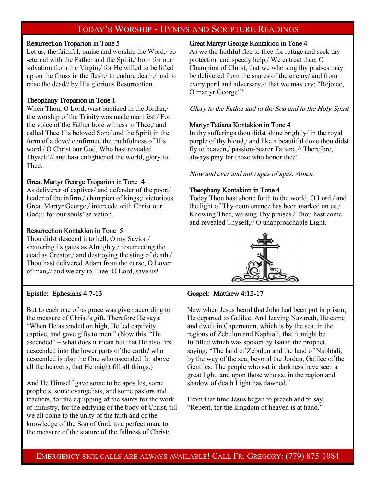# TODAY'S WORSHIP - HYMNS AND SCRIPTURE READINGS

#### Resurrection Troparion in Tone 5

Let us, the faithful, praise and worship the Word,/ co -eternal with the Father and the Spirit,/ born for our salvation from the Virgin;/ for He willed to be lifted up on the Cross in the flesh,/ to endure death,/ and to raise the dead// by His glorious Resurrection.

#### Theophany Troparion in Tone 1

When Thou, O Lord, wast baptized in the Jordan,/ the worship of the Trinity was made manifest./ For the voice of the Father bore witness to Thee,/ and called Thee His beloved Son;/ and the Spirit in the form of a dove/ confirmed the truthfulness of His word./ O Christ our God, Who hast revealed Thyself // and hast enlightened the world, glory to Thee.

#### Great Martyr George Troparion in Tone 4

As deliverer of captives/ and defender of the poor;/ healer of the infirm,/ champion of kings;/ victorious Great Martyr George,/ intercede with Christ our God;// for our souls' salvation.

#### Resurrection Kontakion in Tone 5

Thou didst descend into hell, O my Savior,/ shattering its gates as Almighty,/ resurrecting the dead as Creator,/ and destroying the sting of death./ Thou hast delivered Adam from the curse, O Lover of man,// and we cry to Thee: O Lord, save us!

# Epistle: Ephesians 4:7-13

But to each one of us grace was given according to the measure of Christ's gift. Therefore He says: "When He ascended on high, He led captivity captive, and gave gifts to men." (Now this, "He ascended" – what does it mean but that He also first descended into the lower parts of the earth? who descended is also the One who ascended far above all the heavens, that He might fill all things.)

And He Himself gave some to be apostles, some prophets, some evangelists, and some pastors and teachers, for the equipping of the saints for the work of ministry, for the edifying of the body of Christ, till we all come to the unity of the faith and of the knowledge of the Son of God, to a perfect man, to the measure of the stature of the fullness of Christ;

#### Great Martyr George Kontakion in Tone 4

As we the faithful flee to thee for refuge and seek thy protection and speedy help,/ We entreat thee, O Champion of Christ, that we who sing thy praises may be delivered from the snares of the enemy/ and from every peril and adversary,// that we may cry: "Rejoice, O martyr George!"

Glory to the Father and to the Son and to the Holy Spirit

#### Martyr Tatiana Kontakion in Tone 4

In thy sufferings thou didst shine brightly/ in the royal purple of thy blood,/ and like a beautiful dove thou didst fly to heaven,/ passion-bearer Tatiana.// Therefore, always pray for those who honor thee!

Now and ever and unto ages of ages. Amen.

#### Theophany Kontakion in Tone 4

Today Thou hast shone forth to the world, O Lord,/ and the light of Thy countenance has been marked on us./ Knowing Thee, we sing Thy praises./ Thou hast come and revealed Thyself,// O unapproachable Light.



# Gospel: Matthew 4:12-17

Now when Jesus heard that John had been put in prison, He departed to Galilee. And leaving Nazareth, He came and dwelt in Capernaum, which is by the sea, in the regions of Zebulun and Naphtali, that it might be fulfilled which was spoken by Isaiah the prophet, saying: "The land of Zebulun and the land of Naphtali, by the way of the sea, beyond the Jordan, Galilee of the Gentiles: The people who sat in darkness have seen a great light, and upon those who sat in the region and shadow of death Light has dawned."

From that time Jesus began to preach and to say, "Repent, for the kingdom of heaven is at hand."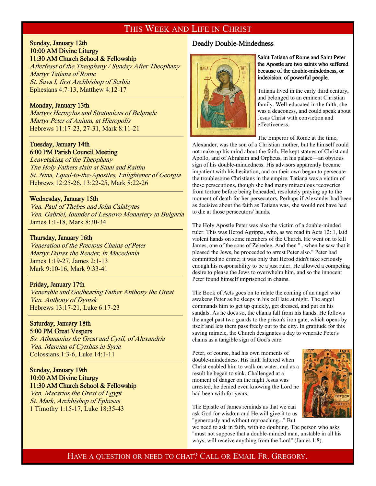# THIS WEEK AND LIFE IN CHRIST

#### Sunday, January 12th 10:00 AM Divine Liturgy 11:30 AM Church School & Fellowship

Afterfeast of the Theophany / Sunday After Theophany Martyr Tatiana of Rome St. Sava I, first Archbishop of Serbia Ephesians 4:7-13, Matthew 4:12-17  $\overline{a}$ 

#### Monday, January 13th

 $\overline{a}$ 

 $\overline{a}$ 

 $\overline{a}$ 

Martyrs Hermylus and Stratonicus of Belgrade Martyr Peter of Anium, at Hieropolis Hebrews 11:17-23, 27-31, Mark 8:11-21

#### Tuesday, January 14th 6:00 PM Parish Council Meeting

Leavetaking of the Theophany The Holy Fathers slain at Sinai and Raithu St. Nina, Equal-to-the-Apostles, Enlightener of Georgia Hebrews 12:25-26, 13:22-25, Mark 8:22-26

#### Wednesday, January 15th

Ven. Paul of Thebes and John Calabytes Ven. Gabriel, founder of Lesnovo Monastery in Bulgaria James 1:1-18, Mark 8:30-34

#### Thursday, January 16th

Veneration of the Precious Chains of Peter Martyr Danax the Reader, in Macedonia James 1:19-27, James 2:1-13 Mark 9:10-16, Mark 9:33-41

#### Friday, January 17th

Venerable and Godbearing Father Anthony the Great Ven. Anthony of Dymsk Hebrews 13:17-21, Luke 6:17-23

#### Saturday, January 18th 5:00 PM Great Vespers

Ss. Athananius the Great and Cyril, of Alexandria Ven. Marcian of Cyrrhus in Syria Colossians 1:3-6, Luke 14:1-11

### Sunday, January 19th 10:00 AM Divine Liturgy 11:30 AM Church School & Fellowship

Ven. Macarius the Great of Egypt St. Mark, Archbishop of Ephesus 1 Timothy 1:15-17, Luke 18:35-43

#### Deadly Double-Mindedness



#### Saint Tatiana of Rome and Saint Peter the Apostle are two saints who suffered because of the double-mindedness, or indecision, of powerful people.

Tatiana lived in the early third century, and belonged to an eminent Christian family. Well-educated in the faith, she was a deaconess, and could speak about Jesus Christ with conviction and effectiveness.

The Emperor of Rome at the time,

Alexander, was the son of a Christian mother, but he himself could not make up his mind about the faith. He kept statues of Christ and Apollo, and of Abraham and Orpheus, in his palace—an obvious sign of his double-mindedness. His advisors apparently became impatient with his hesitation, and on their own began to persecute the troublesome Christians in the empire. Tatiana was a victim of these persecutions, though she had many miraculous recoveries from torture before being beheaded, resolutely praying up to the moment of death for her persecutors. Perhaps if Alexander had been as decisive about the faith as Tatiana was, she would not have had to die at those persecutors' hands.

The Holy Apostle Peter was also the victim of a double-minded ruler. This was Herod Agrippa, who, as we read in Acts 12: 1, laid violent hands on some members of the Church. He went on to kill James, one of the sons of Zebedee. And then "...when he saw that it pleased the Jews, he proceeded to arrest Peter also." Peter had committed no crime; it was only that Herod didn't take seriously enough his responsibility to be a just ruler. He allowed a competing desire to please the Jews to overwhelm him, and so the innocent Peter found himself imprisoned in chains.

The Book of Acts goes on to relate the coming of an angel who awakens Peter as he sleeps in his cell late at night. The angel commands him to get up quickly, get dressed, and put on his sandals. As he does so, the chains fall from his hands. He follows the angel past two guards to the prison's iron gate, which opens by itself and lets them pass freely out to the city. In gratitude for this saving miracle, the Church designates a day to venerate Peter's chains as a tangible sign of God's care.

Peter, of course, had his own moments of double-mindedness. His faith faltered when Christ enabled him to walk on water, and as a result he began to sink. Challenged at a moment of danger on the night Jesus was arrested, he denied even knowing the Lord he had been with for years.

The Epistle of James reminds us that we can ask God for wisdom and He will give it to us "generously and without reproaching..." But

we need to ask in faith, with no doubting. The person who asks "must not suppose that a double-minded man, unstable in all his ways, will receive anything from the Lord" (James 1:8).

# HAVE A QUESTION OR NEED TO CHAT? CALL OR EMAIL FR. GREGORY.